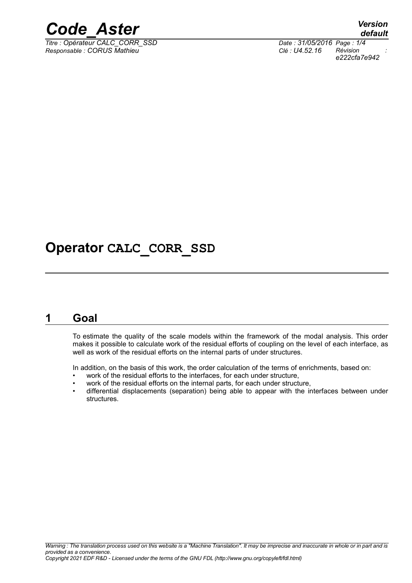

*Titre : Opérateur CALC\_CORR\_SSD Date : 31/05/2016 Page : 1/4 Responsable : CORUS Mathieu Clé : U4.52.16 Révision :*

*default e222cfa7e942*

## **Operator CALC\_CORR\_SSD**

### **1 Goal**

To estimate the quality of the scale models within the framework of the modal analysis. This order makes it possible to calculate work of the residual efforts of coupling on the level of each interface, as well as work of the residual efforts on the internal parts of under structures.

In addition, on the basis of this work, the order calculation of the terms of enrichments, based on:

- work of the residual efforts to the interfaces, for each under structure,
- work of the residual efforts on the internal parts, for each under structure,
- differential displacements (separation) being able to appear with the interfaces between under **structures**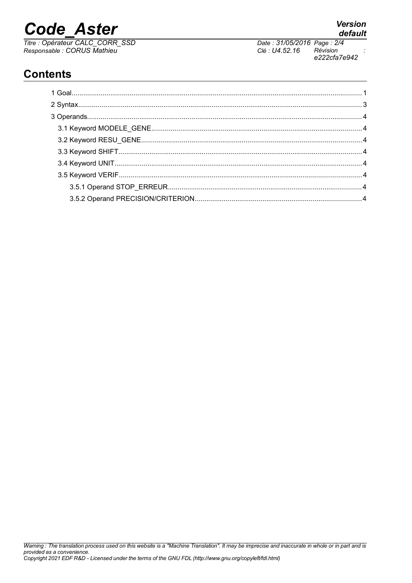# **Code Aster**

Titre : Opérateur CALC\_CORR\_SSD<br>Responsable : CORUS Mathieu

Date: 31/05/2016 Page: 2/4 Clé : U4.52.16 Révision e222cfa7e942

## **Contents**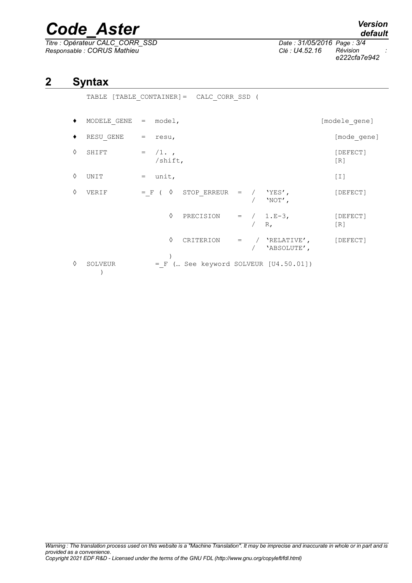# *Code\_Aster Version*

*Titre : Opérateur CALC\_CORR\_SSD Date : 31/05/2016 Page : 3/4 Responsable : CORUS Mathieu Clé : U4.52.16 Révision :*

*e222cfa7e942*

## **2 Syntax**

|   | $[TABLE CONTAINER] = CALC CORR SSD$ (<br>TABLE |              |            |                                         |  |         |                                              |  |                 |  |  |
|---|------------------------------------------------|--------------|------------|-----------------------------------------|--|---------|----------------------------------------------|--|-----------------|--|--|
|   | MODELE GENE $=$ model,                         |              |            |                                         |  |         |                                              |  | [modele gene]   |  |  |
|   | RESU GENE                                      | = resu,      |            |                                         |  |         |                                              |  | [mode gene]     |  |  |
| ♦ | SHIFT                                          | $=$ $/1.$    | $/s$ hift, |                                         |  |         |                                              |  | [DEFECT]<br>[R] |  |  |
| ♦ | UNIT                                           | unit,<br>$=$ |            |                                         |  |         |                                              |  | $[1]$           |  |  |
| ♦ | VERIF                                          |              |            | $= F ( \diamond STOP ERREUR = / YES',$  |  |         | $/$ 'NOT',                                   |  | [DEFECT]        |  |  |
|   |                                                |              | ♦          | PRECISION = $/ 1.E-3,$                  |  | $/ R$ , |                                              |  | [DEFECT]<br>[R] |  |  |
|   |                                                |              | ♦          |                                         |  |         | CRITERION = $/$ 'RELATIVE',<br>/ 'ABSOLUTE', |  | [DEFECT]        |  |  |
| ♦ | SOLVEUR                                        |              |            | $= F$ ( See keyword SOLVEUR [U4.50.01]) |  |         |                                              |  |                 |  |  |